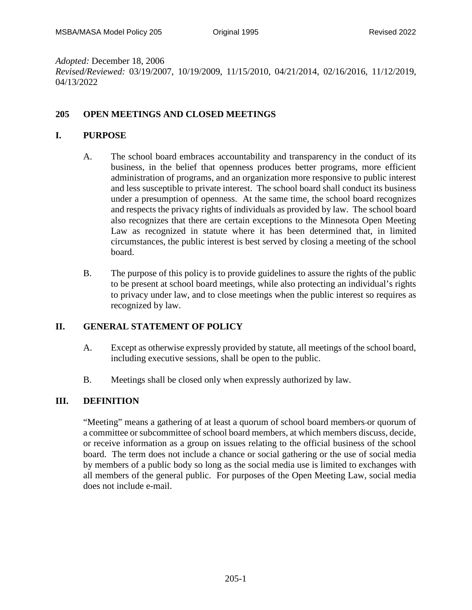*Adopted:* December 18, 2006

*Revised/Reviewed:* 03/19/2007, 10/19/2009, 11/15/2010, 04/21/2014, 02/16/2016, 11/12/2019, 04/13/2022

## **205 OPEN MEETINGS AND CLOSED MEETINGS**

### **I. PURPOSE**

- A. The school board embraces accountability and transparency in the conduct of its business, in the belief that openness produces better programs, more efficient administration of programs, and an organization more responsive to public interest and less susceptible to private interest. The school board shall conduct its business under a presumption of openness. At the same time, the school board recognizes and respects the privacy rights of individuals as provided by law. The school board also recognizes that there are certain exceptions to the Minnesota Open Meeting Law as recognized in statute where it has been determined that, in limited circumstances, the public interest is best served by closing a meeting of the school board.
- B. The purpose of this policy is to provide guidelines to assure the rights of the public to be present at school board meetings, while also protecting an individual's rights to privacy under law, and to close meetings when the public interest so requires as recognized by law.

# **II. GENERAL STATEMENT OF POLICY**

- A. Except as otherwise expressly provided by statute, all meetings of the school board, including executive sessions, shall be open to the public.
- B. Meetings shall be closed only when expressly authorized by law.

#### **III. DEFINITION**

"Meeting" means a gathering of at least a quorum of school board members or quorum of a committee or subcommittee of school board members, at which members discuss, decide, or receive information as a group on issues relating to the official business of the school board. The term does not include a chance or social gathering or the use of social media by members of a public body so long as the social media use is limited to exchanges with all members of the general public. For purposes of the Open Meeting Law, social media does not include e-mail.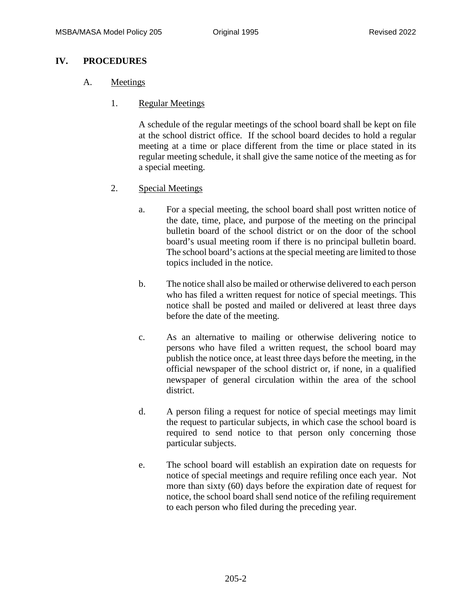## **IV. PROCEDURES**

#### A. Meetings

1. Regular Meetings

A schedule of the regular meetings of the school board shall be kept on file at the school district office. If the school board decides to hold a regular meeting at a time or place different from the time or place stated in its regular meeting schedule, it shall give the same notice of the meeting as for a special meeting.

- 2. Special Meetings
	- a. For a special meeting, the school board shall post written notice of the date, time, place, and purpose of the meeting on the principal bulletin board of the school district or on the door of the school board's usual meeting room if there is no principal bulletin board. The school board's actions at the special meeting are limited to those topics included in the notice.
	- b. The notice shall also be mailed or otherwise delivered to each person who has filed a written request for notice of special meetings. This notice shall be posted and mailed or delivered at least three days before the date of the meeting.
	- c. As an alternative to mailing or otherwise delivering notice to persons who have filed a written request, the school board may publish the notice once, at least three days before the meeting, in the official newspaper of the school district or, if none, in a qualified newspaper of general circulation within the area of the school district.
	- d. A person filing a request for notice of special meetings may limit the request to particular subjects, in which case the school board is required to send notice to that person only concerning those particular subjects.
	- e. The school board will establish an expiration date on requests for notice of special meetings and require refiling once each year. Not more than sixty (60) days before the expiration date of request for notice, the school board shall send notice of the refiling requirement to each person who filed during the preceding year.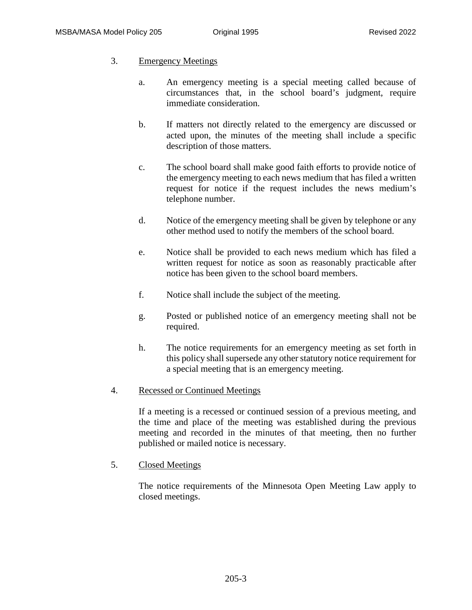# 3. Emergency Meetings

- a. An emergency meeting is a special meeting called because of circumstances that, in the school board's judgment, require immediate consideration.
- b. If matters not directly related to the emergency are discussed or acted upon, the minutes of the meeting shall include a specific description of those matters.
- c. The school board shall make good faith efforts to provide notice of the emergency meeting to each news medium that has filed a written request for notice if the request includes the news medium's telephone number.
- d. Notice of the emergency meeting shall be given by telephone or any other method used to notify the members of the school board.
- e. Notice shall be provided to each news medium which has filed a written request for notice as soon as reasonably practicable after notice has been given to the school board members.
- f. Notice shall include the subject of the meeting.
- g. Posted or published notice of an emergency meeting shall not be required.
- h. The notice requirements for an emergency meeting as set forth in this policy shall supersede any other statutory notice requirement for a special meeting that is an emergency meeting.

# 4. Recessed or Continued Meetings

If a meeting is a recessed or continued session of a previous meeting, and the time and place of the meeting was established during the previous meeting and recorded in the minutes of that meeting, then no further published or mailed notice is necessary.

5. Closed Meetings

The notice requirements of the Minnesota Open Meeting Law apply to closed meetings.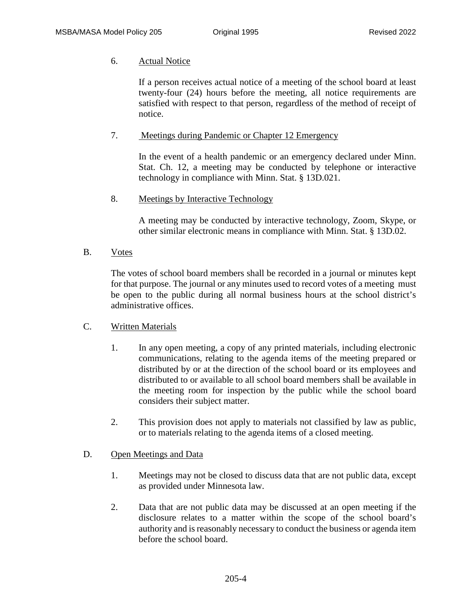### 6. Actual Notice

If a person receives actual notice of a meeting of the school board at least twenty-four (24) hours before the meeting, all notice requirements are satisfied with respect to that person, regardless of the method of receipt of notice.

### 7. Meetings during Pandemic or Chapter 12 Emergency

In the event of a health pandemic or an emergency declared under Minn. Stat. Ch. 12, a meeting may be conducted by telephone or interactive technology in compliance with Minn. Stat. § 13D.021.

## 8. Meetings by Interactive Technology

A meeting may be conducted by interactive technology, Zoom, Skype, or other similar electronic means in compliance with Minn. Stat. § 13D.02.

B. Votes

The votes of school board members shall be recorded in a journal or minutes kept for that purpose. The journal or any minutes used to record votes of a meeting must be open to the public during all normal business hours at the school district's administrative offices.

#### C. Written Materials

- 1. In any open meeting, a copy of any printed materials, including electronic communications, relating to the agenda items of the meeting prepared or distributed by or at the direction of the school board or its employees and distributed to or available to all school board members shall be available in the meeting room for inspection by the public while the school board considers their subject matter.
- 2. This provision does not apply to materials not classified by law as public, or to materials relating to the agenda items of a closed meeting.

#### D. Open Meetings and Data

- 1. Meetings may not be closed to discuss data that are not public data, except as provided under Minnesota law.
- 2. Data that are not public data may be discussed at an open meeting if the disclosure relates to a matter within the scope of the school board's authority and is reasonably necessary to conduct the business or agenda item before the school board.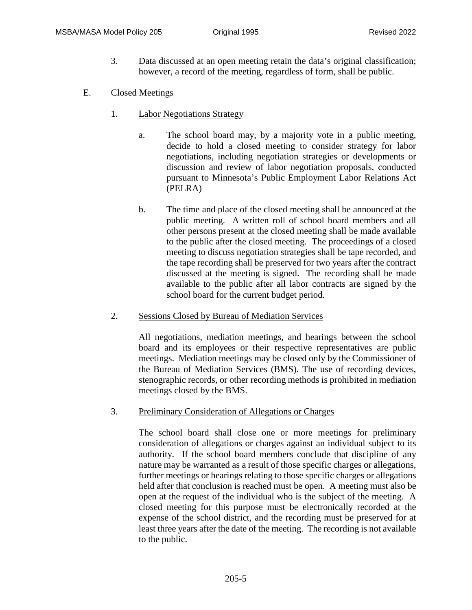- 3. Data discussed at an open meeting retain the data's original classification; however, a record of the meeting, regardless of form, shall be public.
- E. Closed Meetings
	- 1. Labor Negotiations Strategy
		- a. The school board may, by a majority vote in a public meeting, decide to hold a closed meeting to consider strategy for labor negotiations, including negotiation strategies or developments or discussion and review of labor negotiation proposals, conducted pursuant to Minnesota's Public Employment Labor Relations Act (PELRA)
		- b. The time and place of the closed meeting shall be announced at the public meeting. A written roll of school board members and all other persons present at the closed meeting shall be made available to the public after the closed meeting. The proceedings of a closed meeting to discuss negotiation strategies shall be tape recorded, and the tape recording shall be preserved for two years after the contract discussed at the meeting is signed. The recording shall be made available to the public after all labor contracts are signed by the school board for the current budget period.
	- 2. Sessions Closed by Bureau of Mediation Services

All negotiations, mediation meetings, and hearings between the school board and its employees or their respective representatives are public meetings. Mediation meetings may be closed only by the Commissioner of the Bureau of Mediation Services (BMS). The use of recording devices, stenographic records, or other recording methods is prohibited in mediation meetings closed by the BMS.

3. Preliminary Consideration of Allegations or Charges

The school board shall close one or more meetings for preliminary consideration of allegations or charges against an individual subject to its authority. If the school board members conclude that discipline of any nature may be warranted as a result of those specific charges or allegations, further meetings or hearings relating to those specific charges or allegations held after that conclusion is reached must be open. A meeting must also be open at the request of the individual who is the subject of the meeting. A closed meeting for this purpose must be electronically recorded at the expense of the school district, and the recording must be preserved for at least three years after the date of the meeting. The recording is not available to the public.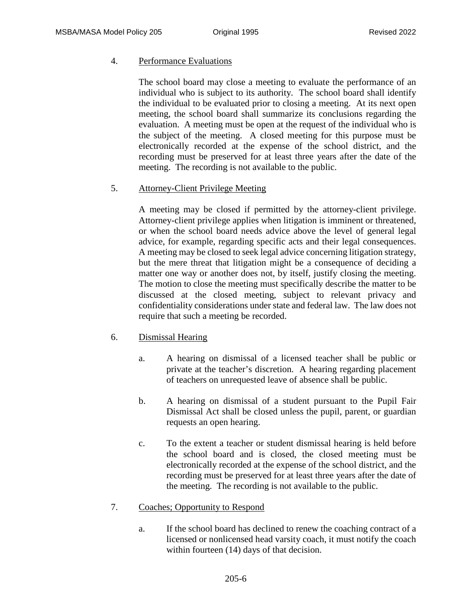#### 4. Performance Evaluations

The school board may close a meeting to evaluate the performance of an individual who is subject to its authority. The school board shall identify the individual to be evaluated prior to closing a meeting. At its next open meeting, the school board shall summarize its conclusions regarding the evaluation. A meeting must be open at the request of the individual who is the subject of the meeting. A closed meeting for this purpose must be electronically recorded at the expense of the school district, and the recording must be preserved for at least three years after the date of the meeting. The recording is not available to the public.

## 5. Attorney-Client Privilege Meeting

A meeting may be closed if permitted by the attorney-client privilege. Attorney-client privilege applies when litigation is imminent or threatened, or when the school board needs advice above the level of general legal advice, for example, regarding specific acts and their legal consequences. A meeting may be closed to seek legal advice concerning litigation strategy, but the mere threat that litigation might be a consequence of deciding a matter one way or another does not, by itself, justify closing the meeting. The motion to close the meeting must specifically describe the matter to be discussed at the closed meeting, subject to relevant privacy and confidentiality considerations under state and federal law. The law does not require that such a meeting be recorded.

#### 6. Dismissal Hearing

- a. A hearing on dismissal of a licensed teacher shall be public or private at the teacher's discretion. A hearing regarding placement of teachers on unrequested leave of absence shall be public.
- b. A hearing on dismissal of a student pursuant to the Pupil Fair Dismissal Act shall be closed unless the pupil, parent, or guardian requests an open hearing.
- c. To the extent a teacher or student dismissal hearing is held before the school board and is closed, the closed meeting must be electronically recorded at the expense of the school district, and the recording must be preserved for at least three years after the date of the meeting. The recording is not available to the public.

# 7. Coaches; Opportunity to Respond

a. If the school board has declined to renew the coaching contract of a licensed or nonlicensed head varsity coach, it must notify the coach within fourteen (14) days of that decision.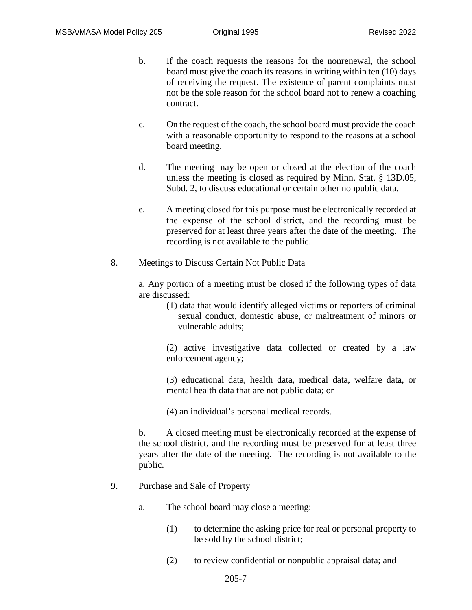- b. If the coach requests the reasons for the nonrenewal, the school board must give the coach its reasons in writing within ten (10) days of receiving the request. The existence of parent complaints must not be the sole reason for the school board not to renew a coaching contract.
- c. On the request of the coach, the school board must provide the coach with a reasonable opportunity to respond to the reasons at a school board meeting.
- d. The meeting may be open or closed at the election of the coach unless the meeting is closed as required by Minn. Stat. § 13D.05, Subd. 2, to discuss educational or certain other nonpublic data.
- e. A meeting closed for this purpose must be electronically recorded at the expense of the school district, and the recording must be preserved for at least three years after the date of the meeting. The recording is not available to the public.

#### 8. Meetings to Discuss Certain Not Public Data

a. Any portion of a meeting must be closed if the following types of data are discussed:

(1) data that would identify alleged victims or reporters of criminal sexual conduct, domestic abuse, or maltreatment of minors or vulnerable adults;

(2) active investigative data collected or created by a law enforcement agency;

(3) educational data, health data, medical data, welfare data, or mental health data that are not public data; or

(4) an individual's personal medical records.

b. A closed meeting must be electronically recorded at the expense of the school district, and the recording must be preserved for at least three years after the date of the meeting. The recording is not available to the public.

#### 9. Purchase and Sale of Property

- a. The school board may close a meeting:
	- (1) to determine the asking price for real or personal property to be sold by the school district;
	- (2) to review confidential or nonpublic appraisal data; and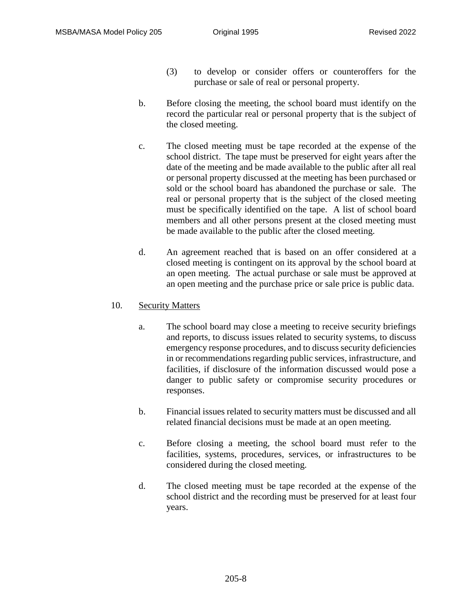- (3) to develop or consider offers or counteroffers for the purchase or sale of real or personal property.
- b. Before closing the meeting, the school board must identify on the record the particular real or personal property that is the subject of the closed meeting.
- c. The closed meeting must be tape recorded at the expense of the school district. The tape must be preserved for eight years after the date of the meeting and be made available to the public after all real or personal property discussed at the meeting has been purchased or sold or the school board has abandoned the purchase or sale. The real or personal property that is the subject of the closed meeting must be specifically identified on the tape. A list of school board members and all other persons present at the closed meeting must be made available to the public after the closed meeting.
- d. An agreement reached that is based on an offer considered at a closed meeting is contingent on its approval by the school board at an open meeting. The actual purchase or sale must be approved at an open meeting and the purchase price or sale price is public data.

# 10. Security Matters

- a. The school board may close a meeting to receive security briefings and reports, to discuss issues related to security systems, to discuss emergency response procedures, and to discuss security deficiencies in or recommendations regarding public services, infrastructure, and facilities, if disclosure of the information discussed would pose a danger to public safety or compromise security procedures or responses.
- b. Financial issues related to security matters must be discussed and all related financial decisions must be made at an open meeting.
- c. Before closing a meeting, the school board must refer to the facilities, systems, procedures, services, or infrastructures to be considered during the closed meeting.
- d. The closed meeting must be tape recorded at the expense of the school district and the recording must be preserved for at least four years.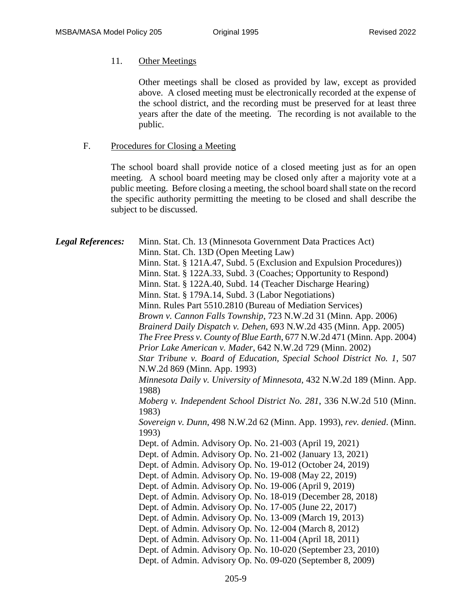### 11. Other Meetings

Other meetings shall be closed as provided by law, except as provided above. A closed meeting must be electronically recorded at the expense of the school district, and the recording must be preserved for at least three years after the date of the meeting. The recording is not available to the public.

#### F. Procedures for Closing a Meeting

The school board shall provide notice of a closed meeting just as for an open meeting. A school board meeting may be closed only after a majority vote at a public meeting. Before closing a meeting, the school board shall state on the record the specific authority permitting the meeting to be closed and shall describe the subject to be discussed.

*Legal References:* Minn. Stat. Ch. 13 (Minnesota Government Data Practices Act) Minn. Stat. Ch. 13D (Open Meeting Law) Minn. Stat. § 121A.47, Subd. 5 (Exclusion and Expulsion Procedures)) Minn. Stat. § 122A.33, Subd. 3 (Coaches; Opportunity to Respond) Minn. Stat. § 122A.40, Subd. 14 (Teacher Discharge Hearing) Minn. Stat. § 179A.14, Subd. 3 (Labor Negotiations) Minn. Rules Part 5510.2810 (Bureau of Mediation Services) *Brown v. Cannon Falls Township*, 723 N.W.2d 31 (Minn. App. 2006) *Brainerd Daily Dispatch v. Dehen*, 693 N.W.2d 435 (Minn. App. 2005) *The Free Press v. County of Blue Earth*, 677 N.W.2d 471 (Minn. App. 2004) *Prior Lake American v. Mader*, 642 N.W.2d 729 (Minn. 2002) *Star Tribune v. Board of Education, Special School District No. 1*, 507 N.W.2d 869 (Minn. App. 1993) *Minnesota Daily v. University of Minnesota*, 432 N.W.2d 189 (Minn. App. 1988) *Moberg v. Independent School District No. 281*, 336 N.W.2d 510 (Minn. 1983) *Sovereign v. Dunn*, 498 N.W.2d 62 (Minn. App. 1993), *rev. denied*. (Minn. 1993) Dept. of Admin. Advisory Op. No. 21-003 (April 19, 2021) Dept. of Admin. Advisory Op. No. 21-002 (January 13, 2021) Dept. of Admin. Advisory Op. No. 19-012 (October 24, 2019) Dept. of Admin. Advisory Op. No. 19-008 (May 22, 2019) Dept. of Admin. Advisory Op. No. 19-006 (April 9, 2019) Dept. of Admin. Advisory Op. No. 18-019 (December 28, 2018) Dept. of Admin. Advisory Op. No. 17-005 (June 22, 2017) Dept. of Admin. Advisory Op. No. 13-009 (March 19, 2013) Dept. of Admin. Advisory Op. No. 12-004 (March 8, 2012) Dept. of Admin. Advisory Op. No. 11-004 (April 18, 2011) Dept. of Admin. Advisory Op. No. 10-020 (September 23, 2010) Dept. of Admin. Advisory Op. No. 09-020 (September 8, 2009)